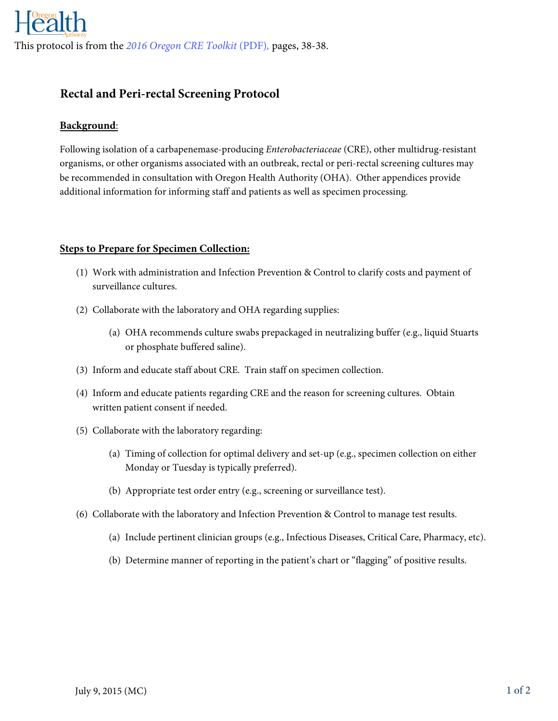# **Rectal and Peri-rectal Screening Protocol**

## **Background**:

Following isolation of a carbapenemase-producing *Enterobacteriaceae* (CRE), other multidrug-resistant organisms, or other organisms associated with an outbreak, rectal or peri-rectal screening cultures may be recommended in consultation with Oregon Health Authority (OHA). Other appendices provide additional information for informing staff and patients as well as specimen processing.

### **Steps to Prepare for Specimen Collection:**

- (1) Work with administration and Infection Prevention & Control to clarify costs and payment of surveillance cultures.
- (2) Collaborate with the laboratory and OHA regarding supplies:
	- (a) OHA recommends culture swabs prepackaged in neutralizing buffer (e.g., liquid Stuarts or phosphate buffered saline).
- (3) Inform and educate staff about CRE. Train staff on specimen collection.
- (4) Inform and educate patients regarding CRE and the reason for screening cultures. Obtain written patient consent if needed.
- (5) Collaborate with the laboratory regarding:
	- (a) Timing of collection for optimal delivery and set-up (e.g., specimen collection on either Monday or Tuesday is typically preferred).
	- (b) Appropriate test order entry (e.g., screening or surveillance test).
- (6) Collaborate with the laboratory and Infection Prevention & Control to manage test results.
	- (a) Include pertinent clinician groups (e.g., Infectious Diseases, Critical Care, Pharmacy, etc).
	- (b) Determine manner of reporting in the patient's chart or "flagging" of positive results.